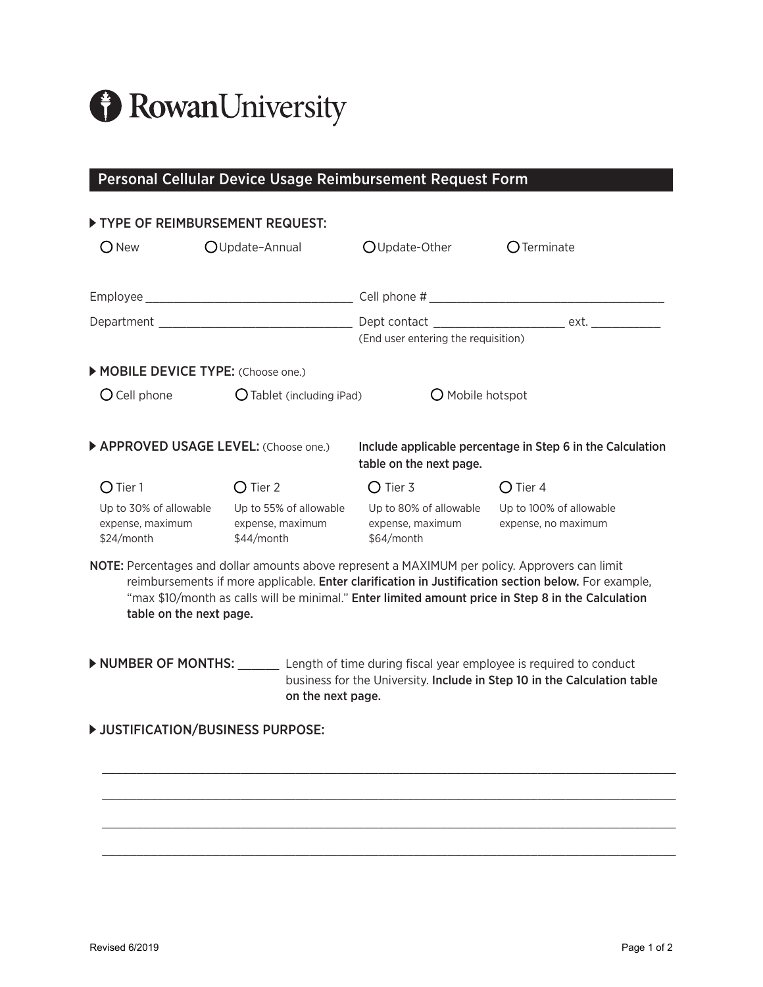

# Personal Cellular Device Usage Reimbursement Request Form

#### **TYPE OF REIMBURSEMENT REQUEST:**

| <b>New</b>                                               | OUpdate-Annual                      |                                                          | OUpdate-Other                                                                                  | $\bigcirc$ Terminate                                                                                                                                                                                      |
|----------------------------------------------------------|-------------------------------------|----------------------------------------------------------|------------------------------------------------------------------------------------------------|-----------------------------------------------------------------------------------------------------------------------------------------------------------------------------------------------------------|
|                                                          |                                     |                                                          |                                                                                                |                                                                                                                                                                                                           |
|                                                          |                                     |                                                          | (End user entering the requisition)                                                            |                                                                                                                                                                                                           |
|                                                          | MOBILE DEVICE TYPE: (Choose one.)   |                                                          |                                                                                                |                                                                                                                                                                                                           |
| $O$ Cell phone<br>$O$ Tablet (including iPad)            |                                     | O Mobile hotspot                                         |                                                                                                |                                                                                                                                                                                                           |
|                                                          | APPROVED USAGE LEVEL: (Choose one.) |                                                          | table on the next page.                                                                        | Include applicable percentage in Step 6 in the Calculation                                                                                                                                                |
| O Tier 1                                                 | O Tier 2                            |                                                          | O Tier 3                                                                                       | O Tier 4                                                                                                                                                                                                  |
| Up to 30% of allowable<br>expense, maximum<br>\$24/month |                                     | Up to 55% of allowable<br>expense, maximum<br>\$44/month | Up to 80% of allowable<br>expense, maximum expense, no maximum<br>\$64/month                   | Up to 100% of allowable                                                                                                                                                                                   |
|                                                          | table on the next page.             |                                                          | NOTE: Percentages and dollar amounts above represent a MAXIMUM per policy. Approvers can limit | reimbursements if more applicable. Enter clarification in Justification section below. For example,<br>"max \$10/month as calls will be minimal." Enter limited amount price in Step 8 in the Calculation |
|                                                          |                                     | on the next page.                                        |                                                                                                | NUMBER OF MONTHS: _______ Length of time during fiscal year employee is required to conduct<br>business for the University. Include in Step 10 in the Calculation table                                   |

\_\_\_\_\_\_\_\_\_\_\_\_\_\_\_\_\_\_\_\_\_\_\_\_\_\_\_\_\_\_\_\_\_\_\_\_\_\_\_\_\_\_\_\_\_\_\_\_\_\_\_\_\_\_\_\_\_\_\_\_\_\_\_\_\_\_\_\_\_\_\_\_\_\_\_\_\_\_\_\_\_\_\_

\_\_\_\_\_\_\_\_\_\_\_\_\_\_\_\_\_\_\_\_\_\_\_\_\_\_\_\_\_\_\_\_\_\_\_\_\_\_\_\_\_\_\_\_\_\_\_\_\_\_\_\_\_\_\_\_\_\_\_\_\_\_\_\_\_\_\_\_\_\_\_\_\_\_\_\_\_\_\_\_\_\_\_

\_\_\_\_\_\_\_\_\_\_\_\_\_\_\_\_\_\_\_\_\_\_\_\_\_\_\_\_\_\_\_\_\_\_\_\_\_\_\_\_\_\_\_\_\_\_\_\_\_\_\_\_\_\_\_\_\_\_\_\_\_\_\_\_\_\_\_\_\_\_\_\_\_\_\_\_\_\_\_\_\_\_\_

\_\_\_\_\_\_\_\_\_\_\_\_\_\_\_\_\_\_\_\_\_\_\_\_\_\_\_\_\_\_\_\_\_\_\_\_\_\_\_\_\_\_\_\_\_\_\_\_\_\_\_\_\_\_\_\_\_\_\_\_\_\_\_\_\_\_\_\_\_\_\_\_\_\_\_\_\_\_\_\_\_\_\_

### **D** JUSTIFICATION/BUSINESS PURPOSE: